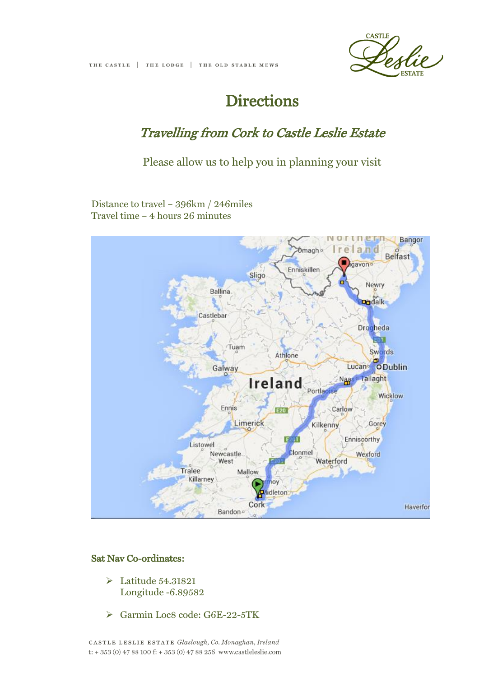

## **Directions**

## Travelling from Cork to Castle Leslie Estate

Please allow us to help you in planning your visit

Distance to travel – 396km / 246miles Travel time – 4 hours 26 minutes



## Sat Nav Co-ordinates:

- Latitude 54.31821 Longitude -6.89582
- Garmin Loc8 code: G6E-22-5TK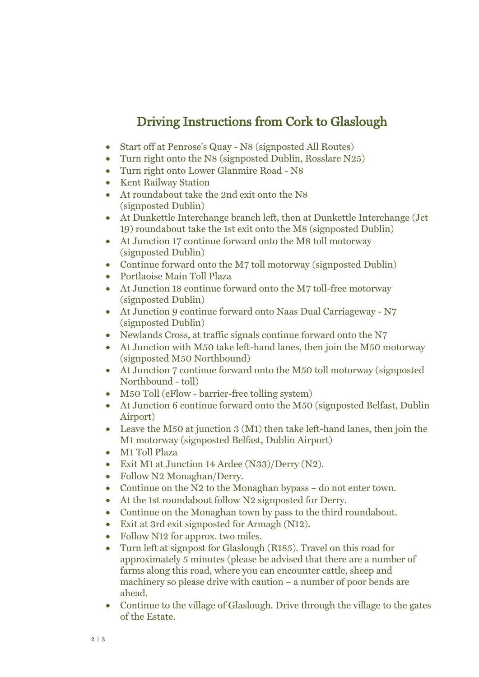## Driving Instructions from Cork to Glaslough

- Start off at Penrose's Quay N8 (signposted All Routes)
- Turn right onto the N8 (signposted Dublin, Rosslare N25)
- Turn right onto Lower Glanmire Road N8
- Kent Railway Station
- At roundabout take the 2nd exit onto the N8 (signposted Dublin)
- At Dunkettle Interchange branch left, then at Dunkettle Interchange (Jct 19) roundabout take the 1st exit onto the M8 (signposted Dublin)
- At Junction 17 continue forward onto the M8 toll motorway (signposted Dublin)
- Continue forward onto the M7 toll motorway (signposted Dublin)
- Portlaoise Main Toll Plaza
- At Junction 18 continue forward onto the M7 toll-free motorway (signposted Dublin)
- At Junction 9 continue forward onto Naas Dual Carriageway N7 (signposted Dublin)
- Newlands Cross, at traffic signals continue forward onto the N7
- At Junction with M50 take left-hand lanes, then join the M50 motorway (signposted M50 Northbound)
- At Junction 7 continue forward onto the M50 toll motorway (signposted Northbound - toll)
- M50 Toll (eFlow barrier-free tolling system)
- At Junction 6 continue forward onto the M50 (signposted Belfast, Dublin Airport)
- Leave the M50 at junction 3 (M1) then take left-hand lanes, then join the M1 motorway (signposted Belfast, Dublin Airport)
- M1 Toll Plaza
- Exit M1 at Junction 14 Ardee (N33)/Derry (N2).
- Follow N2 Monaghan/Derry.
- Continue on the N2 to the Monaghan bypass do not enter town.
- At the 1st roundabout follow N2 signposted for Derry.
- Continue on the Monaghan town by pass to the third roundabout.
- Exit at 3rd exit signposted for Armagh (N12).
- Follow N12 for approx. two miles.
- Turn left at signpost for Glaslough (R185). Travel on this road for approximately 5 minutes (please be advised that there are a number of farms along this road, where you can encounter cattle, sheep and machinery so please drive with caution – a number of poor bends are ahead.
- Continue to the village of Glaslough. Drive through the village to the gates of the Estate.